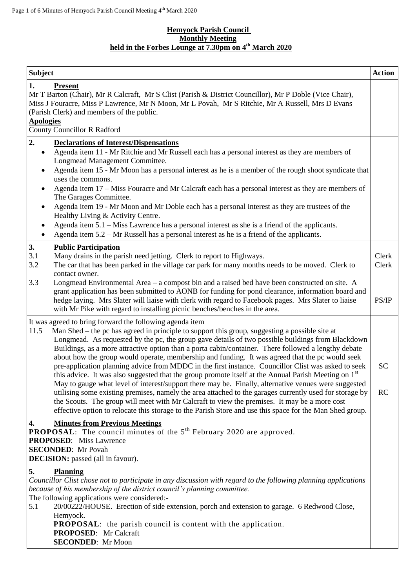### **Hemyock Parish Council Monthly Meeting held in the Forbes Lounge at 7.30pm on 4 th March 2020**

| <b>Subject</b>                                                     |                                                                                                                                                                                                                                                                                                                                                                                                                                                                                                                                                                                                                                                                                                                                                                                                                                                                                                                                                                                                                                                                                                                          | <b>Action</b>          |
|--------------------------------------------------------------------|--------------------------------------------------------------------------------------------------------------------------------------------------------------------------------------------------------------------------------------------------------------------------------------------------------------------------------------------------------------------------------------------------------------------------------------------------------------------------------------------------------------------------------------------------------------------------------------------------------------------------------------------------------------------------------------------------------------------------------------------------------------------------------------------------------------------------------------------------------------------------------------------------------------------------------------------------------------------------------------------------------------------------------------------------------------------------------------------------------------------------|------------------------|
| 1.<br><b>Apologies</b>                                             | <b>Present</b><br>Mr T Barton (Chair), Mr R Calcraft, Mr S Clist (Parish & District Councillor), Mr P Doble (Vice Chair),<br>Miss J Fouracre, Miss P Lawrence, Mr N Moon, Mr L Povah, Mr S Ritchie, Mr A Russell, Mrs D Evans<br>(Parish Clerk) and members of the public.<br><b>County Councillor R Radford</b>                                                                                                                                                                                                                                                                                                                                                                                                                                                                                                                                                                                                                                                                                                                                                                                                         |                        |
| 2.                                                                 | <b>Declarations of Interest/Dispensations</b>                                                                                                                                                                                                                                                                                                                                                                                                                                                                                                                                                                                                                                                                                                                                                                                                                                                                                                                                                                                                                                                                            |                        |
| $\bullet$<br>$\bullet$<br>٠<br>$\bullet$<br>$\bullet$<br>$\bullet$ | Agenda item 11 - Mr Ritchie and Mr Russell each has a personal interest as they are members of<br>Longmead Management Committee.<br>Agenda item 15 - Mr Moon has a personal interest as he is a member of the rough shoot syndicate that<br>uses the commons.<br>Agenda item 17 – Miss Fouracre and Mr Calcraft each has a personal interest as they are members of<br>The Garages Committee.<br>Agenda item 19 - Mr Moon and Mr Doble each has a personal interest as they are trustees of the<br>Healthy Living & Activity Centre.<br>Agenda item 5.1 – Miss Lawrence has a personal interest as she is a friend of the applicants.<br>Agenda item $5.2$ – Mr Russell has a personal interest as he is a friend of the applicants.                                                                                                                                                                                                                                                                                                                                                                                     |                        |
| 3.<br>3.1<br>3.2                                                   | <b>Public Participation</b><br>Many drains in the parish need jetting. Clerk to report to Highways.<br>The car that has been parked in the village car park for many months needs to be moved. Clerk to<br>contact owner.                                                                                                                                                                                                                                                                                                                                                                                                                                                                                                                                                                                                                                                                                                                                                                                                                                                                                                | Clerk<br>Clerk         |
| 3.3                                                                | Longmead Environmental Area $-$ a compost bin and a raised bed have been constructed on site. A<br>grant application has been submitted to AONB for funding for pond clearance, information board and<br>hedge laying. Mrs Slater will liaise with clerk with regard to Facebook pages. Mrs Slater to liaise<br>with Mr Pike with regard to installing picnic benches/benches in the area.                                                                                                                                                                                                                                                                                                                                                                                                                                                                                                                                                                                                                                                                                                                               | PS/IP                  |
| 11.5                                                               | It was agreed to bring forward the following agenda item<br>Man Shed – the pc has agreed in principle to support this group, suggesting a possible site at<br>Longmead. As requested by the pc, the group gave details of two possible buildings from Blackdown<br>Buildings, as a more attractive option than a porta cabin/container. There followed a lengthy debate<br>about how the group would operate, membership and funding. It was agreed that the pc would seek<br>pre-application planning advice from MDDC in the first instance. Councillor Clist was asked to seek<br>this advice. It was also suggested that the group promote itself at the Annual Parish Meeting on 1st<br>May to gauge what level of interest/support there may be. Finally, alternative venues were suggested<br>utilising some existing premises, namely the area attached to the garages currently used for storage by<br>the Scouts. The group will meet with Mr Calcraft to view the premises. It may be a more cost<br>effective option to relocate this storage to the Parish Store and use this space for the Man Shed group. | <b>SC</b><br><b>RC</b> |
| 4.                                                                 | <b>Minutes from Previous Meetings</b><br><b>PROPOSAL:</b> The council minutes of the 5 <sup>th</sup> February 2020 are approved.<br><b>PROPOSED:</b> Miss Lawrence<br><b>SECONDED:</b> Mr Povah<br><b>DECISION:</b> passed (all in favour).                                                                                                                                                                                                                                                                                                                                                                                                                                                                                                                                                                                                                                                                                                                                                                                                                                                                              |                        |
| 5.<br>5.1                                                          | <b>Planning</b><br>Councillor Clist chose not to participate in any discussion with regard to the following planning applications<br>because of his membership of the district council's planning committee.<br>The following applications were considered:-<br>20/00222/HOUSE. Erection of side extension, porch and extension to garage. 6 Redwood Close,<br>Hemyock.<br><b>PROPOSAL:</b> the parish council is content with the application.<br><b>PROPOSED:</b> Mr Calcraft<br><b>SECONDED:</b> Mr Moon                                                                                                                                                                                                                                                                                                                                                                                                                                                                                                                                                                                                              |                        |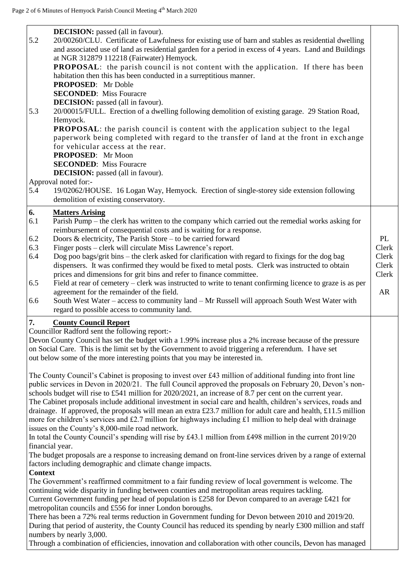$\overline{\phantom{a}}$ 

| 5.2<br>5.3      | 20/00260/CLU. Certificate of Lawfulness for existing use of barn and stables as residential dwelling<br>and associated use of land as residential garden for a period in excess of 4 years. Land and Buildings<br>at NGR 312879 112218 (Fairwater) Hemyock.<br><b>PROPOSAL:</b> the parish council is not content with the application. If there has been<br>habitation then this has been conducted in a surreptitious manner.<br><b>PROPOSED:</b> Mr Doble<br><b>SECONDED:</b> Miss Fouracre<br><b>DECISION:</b> passed (all in favour).<br>20/00015/FULL. Erection of a dwelling following demolition of existing garage. 29 Station Road,<br>Hemyock.<br>PROPOSAL: the parish council is content with the application subject to the legal<br>paperwork being completed with regard to the transfer of land at the front in exchange<br>for vehicular access at the rear.<br>PROPOSED: Mr Moon<br><b>SECONDED:</b> Miss Fouracre |       |
|-----------------|--------------------------------------------------------------------------------------------------------------------------------------------------------------------------------------------------------------------------------------------------------------------------------------------------------------------------------------------------------------------------------------------------------------------------------------------------------------------------------------------------------------------------------------------------------------------------------------------------------------------------------------------------------------------------------------------------------------------------------------------------------------------------------------------------------------------------------------------------------------------------------------------------------------------------------------|-------|
|                 | <b>DECISION:</b> passed (all in favour).                                                                                                                                                                                                                                                                                                                                                                                                                                                                                                                                                                                                                                                                                                                                                                                                                                                                                             |       |
|                 | Approval noted for:-                                                                                                                                                                                                                                                                                                                                                                                                                                                                                                                                                                                                                                                                                                                                                                                                                                                                                                                 |       |
| 5.4             | 19/02062/HOUSE. 16 Logan Way, Hemyock. Erection of single-storey side extension following<br>demolition of existing conservatory.                                                                                                                                                                                                                                                                                                                                                                                                                                                                                                                                                                                                                                                                                                                                                                                                    |       |
| 6.              | <b>Matters Arising</b>                                                                                                                                                                                                                                                                                                                                                                                                                                                                                                                                                                                                                                                                                                                                                                                                                                                                                                               |       |
| 6.1             | Parish Pump – the clerk has written to the company which carried out the remedial works asking for                                                                                                                                                                                                                                                                                                                                                                                                                                                                                                                                                                                                                                                                                                                                                                                                                                   |       |
| 6.2             | reimbursement of consequential costs and is waiting for a response.<br>Doors $\&$ electricity, The Parish Store – to be carried forward                                                                                                                                                                                                                                                                                                                                                                                                                                                                                                                                                                                                                                                                                                                                                                                              | PL    |
| 6.3             | Finger posts – clerk will circulate Miss Lawrence's report.                                                                                                                                                                                                                                                                                                                                                                                                                                                                                                                                                                                                                                                                                                                                                                                                                                                                          | Clerk |
| 6.4             | Dog poo bags/grit bins – the clerk asked for clarification with regard to fixings for the dog bag                                                                                                                                                                                                                                                                                                                                                                                                                                                                                                                                                                                                                                                                                                                                                                                                                                    | Clerk |
|                 | dispensers. It was confirmed they would be fixed to metal posts. Clerk was instructed to obtain                                                                                                                                                                                                                                                                                                                                                                                                                                                                                                                                                                                                                                                                                                                                                                                                                                      | Clerk |
|                 | prices and dimensions for grit bins and refer to finance committee.                                                                                                                                                                                                                                                                                                                                                                                                                                                                                                                                                                                                                                                                                                                                                                                                                                                                  | Clerk |
| 6.5             | Field at rear of cemetery – clerk was instructed to write to tenant confirming licence to graze is as per                                                                                                                                                                                                                                                                                                                                                                                                                                                                                                                                                                                                                                                                                                                                                                                                                            |       |
|                 | agreement for the remainder of the field.                                                                                                                                                                                                                                                                                                                                                                                                                                                                                                                                                                                                                                                                                                                                                                                                                                                                                            | AR    |
| 6.6             | South West Water - access to community land - Mr Russell will approach South West Water with                                                                                                                                                                                                                                                                                                                                                                                                                                                                                                                                                                                                                                                                                                                                                                                                                                         |       |
|                 | regard to possible access to community land.                                                                                                                                                                                                                                                                                                                                                                                                                                                                                                                                                                                                                                                                                                                                                                                                                                                                                         |       |
| 7.              | <b>County Council Report</b>                                                                                                                                                                                                                                                                                                                                                                                                                                                                                                                                                                                                                                                                                                                                                                                                                                                                                                         |       |
|                 | Councillor Radford sent the following report:-<br>Devon County Council has set the budget with a 1.99% increase plus a 2% increase because of the pressure                                                                                                                                                                                                                                                                                                                                                                                                                                                                                                                                                                                                                                                                                                                                                                           |       |
|                 | on Social Care. This is the limit set by the Government to avoid triggering a referendum. I have set                                                                                                                                                                                                                                                                                                                                                                                                                                                                                                                                                                                                                                                                                                                                                                                                                                 |       |
|                 | out below some of the more interesting points that you may be interested in.                                                                                                                                                                                                                                                                                                                                                                                                                                                                                                                                                                                                                                                                                                                                                                                                                                                         |       |
|                 |                                                                                                                                                                                                                                                                                                                                                                                                                                                                                                                                                                                                                                                                                                                                                                                                                                                                                                                                      |       |
|                 | The County Council's Cabinet is proposing to invest over £43 million of additional funding into front line<br>public services in Devon in 2020/21. The full Council approved the proposals on February 20, Devon's non-<br>schools budget will rise to £541 million for $2020/2021$ , an increase of 8.7 per cent on the current year.<br>The Cabinet proposals include additional investment in social care and health, children's services, roads and<br>drainage. If approved, the proposals will mean an extra £23.7 million for adult care and health, £11.5 million<br>more for children's services and £2.7 million for highways including £1 million to help deal with drainage<br>issues on the County's 8,000-mile road network.<br>In total the County Council's spending will rise by £43.1 million from £498 million in the current 2019/20                                                                             |       |
| financial year. |                                                                                                                                                                                                                                                                                                                                                                                                                                                                                                                                                                                                                                                                                                                                                                                                                                                                                                                                      |       |
|                 | The budget proposals are a response to increasing demand on front-line services driven by a range of external                                                                                                                                                                                                                                                                                                                                                                                                                                                                                                                                                                                                                                                                                                                                                                                                                        |       |
|                 | factors including demographic and climate change impacts.                                                                                                                                                                                                                                                                                                                                                                                                                                                                                                                                                                                                                                                                                                                                                                                                                                                                            |       |
| <b>Context</b>  |                                                                                                                                                                                                                                                                                                                                                                                                                                                                                                                                                                                                                                                                                                                                                                                                                                                                                                                                      |       |
|                 | The Government's reaffirmed commitment to a fair funding review of local government is welcome. The                                                                                                                                                                                                                                                                                                                                                                                                                                                                                                                                                                                                                                                                                                                                                                                                                                  |       |
|                 | continuing wide disparity in funding between counties and metropolitan areas requires tackling.                                                                                                                                                                                                                                                                                                                                                                                                                                                                                                                                                                                                                                                                                                                                                                                                                                      |       |
|                 | Current Government funding per head of population is £258 for Devon compared to an average £421 for<br>metropolitan councils and £556 for inner London boroughs.                                                                                                                                                                                                                                                                                                                                                                                                                                                                                                                                                                                                                                                                                                                                                                     |       |
|                 | There has been a 72% real terms reduction in Government funding for Devon between 2010 and 2019/20.                                                                                                                                                                                                                                                                                                                                                                                                                                                                                                                                                                                                                                                                                                                                                                                                                                  |       |
|                 | During that period of austerity, the County Council has reduced its spending by nearly £300 million and staff                                                                                                                                                                                                                                                                                                                                                                                                                                                                                                                                                                                                                                                                                                                                                                                                                        |       |
|                 | numbers by nearly 3,000.                                                                                                                                                                                                                                                                                                                                                                                                                                                                                                                                                                                                                                                                                                                                                                                                                                                                                                             |       |
|                 | Through a combination of efficiencies, innovation and collaboration with other councils, Devon has managed                                                                                                                                                                                                                                                                                                                                                                                                                                                                                                                                                                                                                                                                                                                                                                                                                           |       |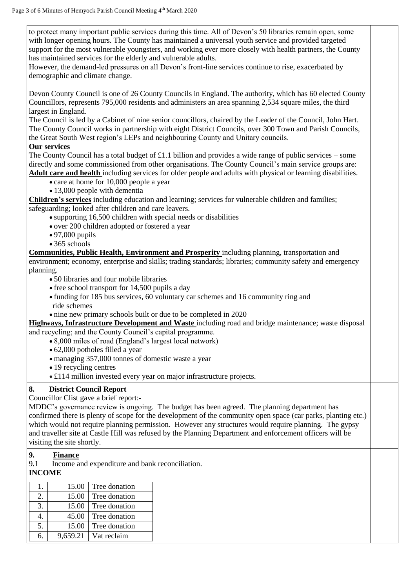to protect many important public services during this time. All of Devon's 50 libraries remain open, some with longer opening hours. The County has maintained a universal youth service and provided targeted support for the most vulnerable youngsters, and working ever more closely with health partners, the County has maintained services for the elderly and vulnerable adults.

However, the demand-led pressures on all Devon's front-line services continue to rise, exacerbated by demographic and climate change.

Devon County Council is one of 26 County Councils in England. The authority, which has 60 elected County Councillors, represents 795,000 residents and administers an area spanning 2,534 square miles, the third largest in England.

The Council is led by a Cabinet of nine senior councillors, chaired by the Leader of the Council, John Hart. The County Council works in partnership with eight District Councils, over 300 Town and Parish Councils, the Great South West region's LEPs and neighbouring County and Unitary councils.

#### **Our services**

The County Council has a total budget of  $\pounds$ 1.1 billion and provides a wide range of public services – some directly and some commissioned from other organisations. The County Council's main service groups are: **Adult care and health** including services for older people and adults with physical or learning disabilities.

• care at home for 10,000 people a year

• 13,000 people with dementia

**Children's services** including education and learning; services for vulnerable children and families; safeguarding; looked after children and care leavers.

supporting 16,500 children with special needs or disabilities

- over 200 children adopted or fostered a year
- 97,000 pupils
- $\bullet$  365 schools

**Communities, Public Health, Environment and Prosperity** including planning, transportation and environment; economy, enterprise and skills; trading standards; libraries; community safety and emergency planning.

- 50 libraries and four mobile libraries
- $\bullet$  free school transport for 14,500 pupils a day
- funding for 185 bus services, 60 voluntary car schemes and 16 community ring and ride schemes
- nine new primary schools built or due to be completed in 2020

**Highways, Infrastructure Development and Waste** including road and bridge maintenance; waste disposal and recycling; and the County Council's capital programme.

- 8,000 miles of road (England's largest local network)
- 62,000 potholes filled a year
- managing 357,000 tonnes of domestic waste a year
- 19 recycling centres
- £114 million invested every year on major infrastructure projects.

# **8. District Council Report**

Councillor Clist gave a brief report:-

MDDC's governance review is ongoing. The budget has been agreed. The planning department has confirmed there is plenty of scope for the development of the community open space (car parks, planting etc.) which would not require planning permission. However any structures would require planning. The gypsy and traveller site at Castle Hill was refused by the Planning Department and enforcement officers will be visiting the site shortly.

# **9. Finance**

9.1 Income and expenditure and bank reconciliation.

### **INCOME**

|    | 15.00    | Tree donation |
|----|----------|---------------|
| 2. | 15.00    | Tree donation |
| 3. | 15.00    | Tree donation |
|    | 45.00    | Tree donation |
| 5. | 15.00    | Tree donation |
| 6. | 9,659.21 | Vat reclaim   |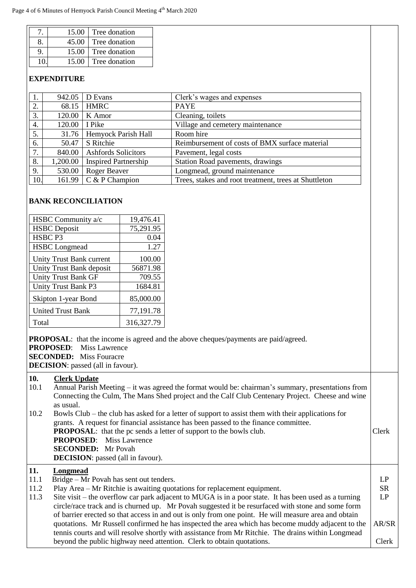|    | 15.00 | Tree donation |
|----|-------|---------------|
| 8. | 45.00 | Tree donation |
| 9  | 15.00 | Tree donation |
|    | 15.00 | Tree donation |

### **EXPENDITURE**

|     | 942.05   | D Evans                           | Clerk's wages and expenses                            |
|-----|----------|-----------------------------------|-------------------------------------------------------|
| 2.  | 68.15    | <b>HMRC</b>                       | <b>PAYE</b>                                           |
| 3.  | 120.00   | K Amor                            | Cleaning, toilets                                     |
| 4.  | 120.00   | I Pike                            | Village and cemetery maintenance                      |
| 5.  | 31.76    | Hemyock Parish Hall               | Room hire                                             |
| 6.  | 50.47    | S Ritchie                         | Reimbursement of costs of BMX surface material        |
| 7.  | 840.00   | Ashfords Solicitors               | Pavement, legal costs                                 |
| 8.  | 1,200.00 | <b>Inspired Partnership</b>       | Station Road pavements, drawings                      |
| 9.  | 530.00   | Roger Beaver                      | Longmead, ground maintenance                          |
| 10. |          | 161.99 $\mathcal{C}$ & P Champion | Trees, stakes and root treatment, trees at Shuttleton |

#### **BANK RECONCILIATION**

| HSBC Community a/c         | 19,476.41  |
|----------------------------|------------|
| <b>HSBC</b> Deposit        | 75,291.95  |
| HSBC <sub>P3</sub>         | 0.04       |
| <b>HSBC</b> Longmead       | 1.27       |
| Unity Trust Bank current   | 100.00     |
| Unity Trust Bank deposit   | 56871.98   |
| <b>Unity Trust Bank GF</b> | 709.55     |
| Unity Trust Bank P3        | 1684.81    |
| Skipton 1-year Bond        | 85,000.00  |
| <b>United Trust Bank</b>   | 77,191.78  |
| Total                      | 316,327.79 |

**PROPOSAL**: that the income is agreed and the above cheques/payments are paid/agreed.

**PROPOSED**: Miss Lawrence

**SECONDED:** Miss Fouracre

**DECISION**: passed (all in favour).

# **10. Clerk Update**

| .    |                                                                                                         |           |
|------|---------------------------------------------------------------------------------------------------------|-----------|
| 10.1 | Annual Parish Meeting – it was agreed the format would be: chairman's summary, presentations from       |           |
|      | Connecting the Culm, The Mans Shed project and the Calf Club Centenary Project. Cheese and wine         |           |
|      | as usual.                                                                                               |           |
| 10.2 | Bowls Club – the club has asked for a letter of support to assist them with their applications for      |           |
|      | grants. A request for financial assistance has been passed to the finance committee.                    |           |
|      | <b>PROPOSAL:</b> that the pc sends a letter of support to the bowls club.                               | Clerk     |
|      | <b>PROPOSED:</b> Miss Lawrence                                                                          |           |
|      | <b>SECONDED:</b> Mr Povah                                                                               |           |
|      | <b>DECISION</b> : passed (all in favour).                                                               |           |
| 11.  | Longmead                                                                                                |           |
| 11.1 | Bridge – Mr Povah has sent out tenders.                                                                 | LP        |
| 11.2 | Play Area – Mr Ritchie is awaiting quotations for replacement equipment.                                | <b>SR</b> |
| 113  | Site visit $-$ the overflow car park adjacent to MHGA is in a poor state. It has been used as a turning | I P       |

11.3 Site visit – the overflow car park adjacent to MUGA is in a poor state. It has been used as a turning circle/race track and is churned up. Mr Povah suggested it be resurfaced with stone and some form of barrier erected so that access in and out is only from one point. He will measure area and obtain quotations. Mr Russell confirmed he has inspected the area which has become muddy adjacent to the tennis courts and will resolve shortly with assistance from Mr Ritchie. The drains within Longmead beyond the public highway need attention. Clerk to obtain quotations. L t AR/SR Clerk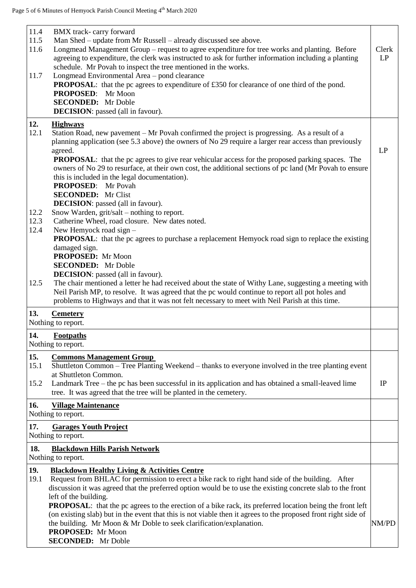| 11.4<br>11.5<br>11.6<br>11.7 | BMX track-carry forward<br>Man Shed – update from Mr Russell – already discussed see above.<br>Longmead Management Group - request to agree expenditure for tree works and planting. Before<br>agreeing to expenditure, the clerk was instructed to ask for further information including a planting<br>schedule. Mr Povah to inspect the tree mentioned in the works.<br>Longmead Environmental Area - pond clearance<br><b>PROPOSAL:</b> that the pc agrees to expenditure of £350 for clearance of one third of the pond.<br><b>PROPOSED:</b><br>Mr Moon<br><b>SECONDED:</b> Mr Doble<br><b>DECISION</b> : passed (all in favour). | Clerk<br>LP |
|------------------------------|---------------------------------------------------------------------------------------------------------------------------------------------------------------------------------------------------------------------------------------------------------------------------------------------------------------------------------------------------------------------------------------------------------------------------------------------------------------------------------------------------------------------------------------------------------------------------------------------------------------------------------------|-------------|
| 12.<br>12.1                  | <b>Highways</b><br>Station Road, new pavement – Mr Povah confirmed the project is progressing. As a result of a<br>planning application (see 5.3 above) the owners of No 29 require a larger rear access than previously<br>agreed.<br><b>PROPOSAL:</b> that the pc agrees to give rear vehicular access for the proposed parking spaces. The<br>owners of No 29 to resurface, at their own cost, the additional sections of pc land (Mr Povah to ensure                                                                                                                                                                              | LP          |
| 12.2<br>12.3<br>12.4         | this is included in the legal documentation).<br><b>PROPOSED:</b> Mr Povah<br><b>SECONDED:</b> Mr Clist<br><b>DECISION</b> : passed (all in favour).<br>Snow Warden, grit/salt – nothing to report.<br>Catherine Wheel, road closure. New dates noted.<br>New Hemyock road sign -                                                                                                                                                                                                                                                                                                                                                     |             |
| 12.5                         | <b>PROPOSAL:</b> that the pc agrees to purchase a replacement Hemyock road sign to replace the existing<br>damaged sign.<br>PROPOSED: Mr Moon<br><b>SECONDED:</b> Mr Doble<br><b>DECISION</b> : passed (all in favour).<br>The chair mentioned a letter he had received about the state of Withy Lane, suggesting a meeting with                                                                                                                                                                                                                                                                                                      |             |
| 13.                          | Neil Parish MP, to resolve. It was agreed that the pc would continue to report all pot holes and<br>problems to Highways and that it was not felt necessary to meet with Neil Parish at this time.<br><b>Cemetery</b>                                                                                                                                                                                                                                                                                                                                                                                                                 |             |
|                              | Nothing to report.                                                                                                                                                                                                                                                                                                                                                                                                                                                                                                                                                                                                                    |             |
| 14.                          | <b>Footpaths</b><br>Nothing to report.                                                                                                                                                                                                                                                                                                                                                                                                                                                                                                                                                                                                |             |
| 15.<br>15.1                  | <b>Commons Management Group</b><br>Shuttleton Common – Tree Planting Weekend – thanks to everyone involved in the tree planting event<br>at Shuttleton Common.                                                                                                                                                                                                                                                                                                                                                                                                                                                                        |             |
| 15.2                         | Landmark Tree – the pc has been successful in its application and has obtained a small-leaved lime<br>tree. It was agreed that the tree will be planted in the cemetery.                                                                                                                                                                                                                                                                                                                                                                                                                                                              | IP          |
| 16.                          | <b>Village Maintenance</b><br>Nothing to report.                                                                                                                                                                                                                                                                                                                                                                                                                                                                                                                                                                                      |             |
| 17.                          | <b>Garages Youth Project</b><br>Nothing to report.                                                                                                                                                                                                                                                                                                                                                                                                                                                                                                                                                                                    |             |
| 18.                          | <b>Blackdown Hills Parish Network</b><br>Nothing to report.                                                                                                                                                                                                                                                                                                                                                                                                                                                                                                                                                                           |             |
| 19.<br>19.1                  | <b>Blackdown Healthy Living &amp; Activities Centre</b><br>Request from BHLAC for permission to erect a bike rack to right hand side of the building. After<br>discussion it was agreed that the preferred option would be to use the existing concrete slab to the front<br>left of the building.                                                                                                                                                                                                                                                                                                                                    |             |
|                              | <b>PROPOSAL:</b> that the pc agrees to the erection of a bike rack, its preferred location being the front left<br>(on existing slab) but in the event that this is not viable then it agrees to the proposed front right side of<br>the building. Mr Moon & Mr Doble to seek clarification/explanation.<br>PROPOSED: Mr Moon<br><b>SECONDED:</b> Mr Doble                                                                                                                                                                                                                                                                            | NM/PD       |